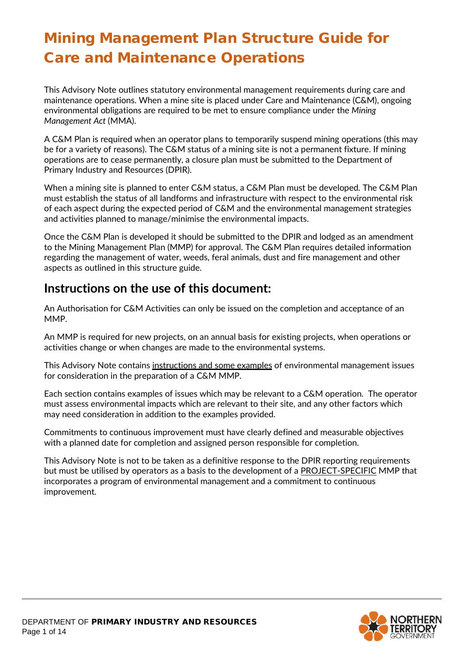This Advisory Note outlines statutory environmental management requirements during care and maintenance operations. When a mine site is placed under Care and Maintenance (C&M), ongoing environmental obligations are required to be met to ensure compliance under the *Mining Management Act* (MMA).

A C&M Plan is required when an operator plans to temporarily suspend mining operations (this may be for a variety of reasons). The C&M status of a mining site is not a permanent fixture. If mining operations are to cease permanently, a closure plan must be submitted to the Department of Primary Industry and Resources (DPIR).

When a mining site is planned to enter C&M status, a C&M Plan must be developed. The C&M Plan must establish the status of all landforms and infrastructure with respect to the environmental risk of each aspect during the expected period of C&M and the environmental management strategies and activities planned to manage/minimise the environmental impacts.

Once the C&M Plan is developed it should be submitted to the DPIR and lodged as an amendment to the Mining Management Plan (MMP) for approval. The C&M Plan requires detailed information regarding the management of water, weeds, feral animals, dust and fire management and other aspects as outlined in this structure guide.

# **Instructions on the use of this document:**

An Authorisation for C&M Activities can only be issued on the completion and acceptance of an MMP.

An MMP is required for new projects, on an annual basis for existing projects, when operations or activities change or when changes are made to the environmental systems.

This Advisory Note contains instructions and some examples of environmental management issues for consideration in the preparation of a C&M MMP.

Each section contains examples of issues which may be relevant to a C&M operation. The operator must assess environmental impacts which are relevant to their site, and any other factors which may need consideration in addition to the examples provided.

Commitments to continuous improvement must have clearly defined and measurable objectives with a planned date for completion and assigned person responsible for completion.

This Advisory Note is not to be taken as a definitive response to the DPIR reporting requirements but must be utilised by operators as a basis to the development of a **PROJECT-SPECIFIC** MMP that incorporates a program of environmental management and a commitment to continuous improvement.

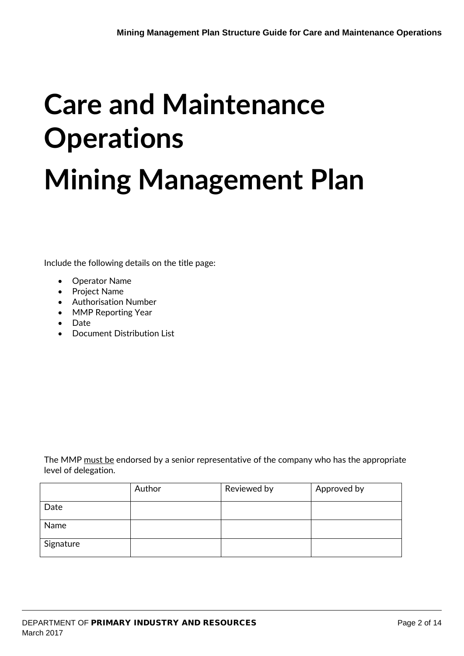# **Care and Maintenance Operations Mining Management Plan**

Include the following details on the title page:

- Operator Name
- Project Name
- Authorisation Number
- MMP Reporting Year
- Date
- Document Distribution List

The MMP must be endorsed by a senior representative of the company who has the appropriate level of delegation.

|           | Author | Reviewed by | Approved by |
|-----------|--------|-------------|-------------|
| Date      |        |             |             |
| Name      |        |             |             |
| Signature |        |             |             |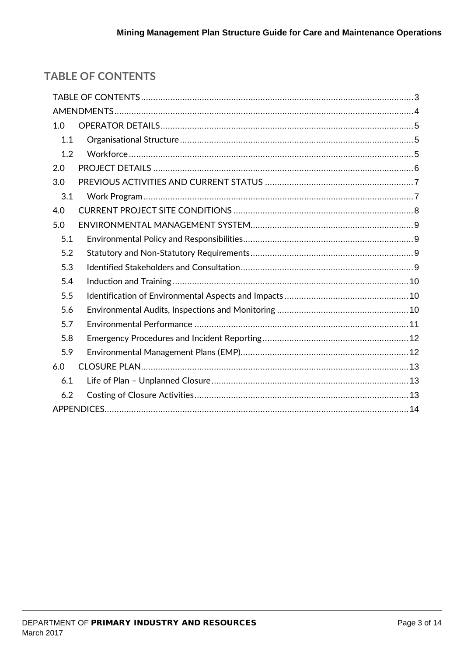# <span id="page-2-0"></span>**TABLE OF CONTENTS**

| 1.0 |  |  |
|-----|--|--|
| 1.1 |  |  |
| 1.2 |  |  |
| 2.0 |  |  |
| 3.0 |  |  |
| 3.1 |  |  |
| 4.0 |  |  |
| 5.0 |  |  |
| 5.1 |  |  |
| 5.2 |  |  |
| 5.3 |  |  |
| 5.4 |  |  |
| 5.5 |  |  |
| 5.6 |  |  |
| 5.7 |  |  |
| 5.8 |  |  |
| 5.9 |  |  |
| 6.0 |  |  |
| 6.1 |  |  |
| 6.2 |  |  |
|     |  |  |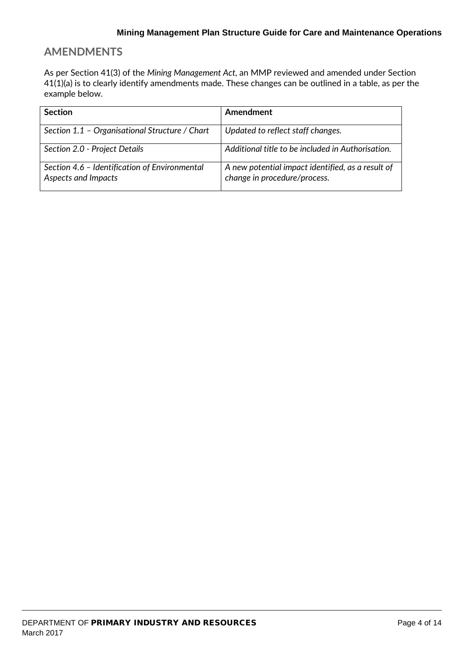# <span id="page-3-0"></span>**AMENDMENTS**

As per Section 41(3) of the *Mining Management Act,* an MMP reviewed and amended under Section 41(1)(a) is to clearly identify amendments made. These changes can be outlined in a table, as per the example below.

| <b>Section</b>                                                       | Amendment                                                                         |
|----------------------------------------------------------------------|-----------------------------------------------------------------------------------|
| Section 1.1 - Organisational Structure / Chart                       | Updated to reflect staff changes.                                                 |
| Section 2.0 - Project Details                                        | Additional title to be included in Authorisation.                                 |
| Section 4.6 - Identification of Environmental<br>Aspects and Impacts | A new potential impact identified, as a result of<br>change in procedure/process. |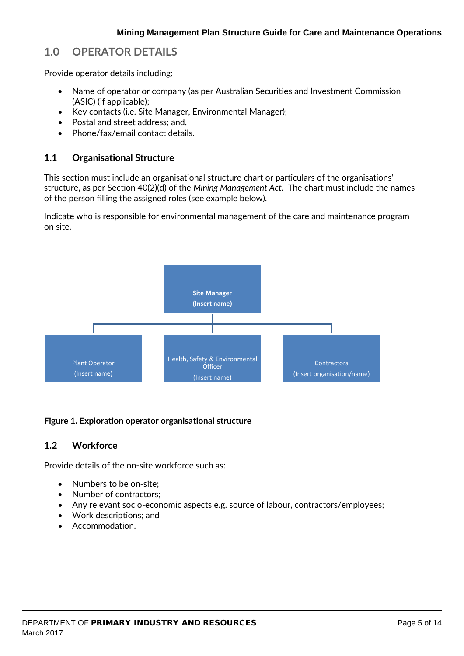# <span id="page-4-0"></span>**1.0 OPERATOR DETAILS**

Provide operator details including:

- Name of operator or company (as per Australian Securities and Investment Commission (ASIC) (if applicable);
- Key contacts (i.e. Site Manager, Environmental Manager);
- Postal and street address; and,
- Phone/fax/email contact details.

# <span id="page-4-1"></span>**1.1 Organisational Structure**

This section must include an organisational structure chart or particulars of the organisations' structure, as per Section 40(2)(d) of the *Mining Management Act.* The chart must include the names of the person filling the assigned roles (see example below).

Indicate who is responsible for environmental management of the care and maintenance program on site.



#### **Figure 1. Exploration operator organisational structure**

## <span id="page-4-2"></span>**1.2 Workforce**

Provide details of the on-site workforce such as:

- Numbers to be on-site:
- Number of contractors;
- Any relevant socio-economic aspects e.g. source of labour, contractors/employees;
- Work descriptions; and
- Accommodation.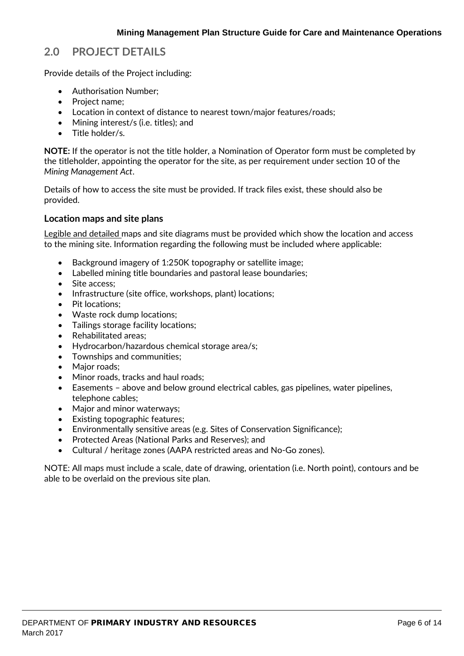# <span id="page-5-0"></span>**2.0 PROJECT DETAILS**

Provide details of the Project including:

- Authorisation Number;
- Project name;
- Location in context of distance to nearest town/major features/roads;
- Mining interest/s (i.e. titles); and
- Title holder/s.

**NOTE:** If the operator is not the title holder, a Nomination of Operator form must be completed by the titleholder, appointing the operator for the site, as per requirement under section 10 of the *Mining Management Act*.

Details of how to access the site must be provided. If track files exist, these should also be provided.

# **Location maps and site plans**

Legible and detailed maps and site diagrams must be provided which show the location and access to the mining site. Information regarding the following must be included where applicable:

- Background imagery of 1:250K topography or satellite image;
- Labelled mining title boundaries and pastoral lease boundaries;
- Site access;
- Infrastructure (site office, workshops, plant) locations;
- Pit locations;
- Waste rock dump locations;
- Tailings storage facility locations;
- Rehabilitated areas;
- Hydrocarbon/hazardous chemical storage area/s;
- Townships and communities;
- Major roads:
- Minor roads, tracks and haul roads:
- Easements above and below ground electrical cables, gas pipelines, water pipelines, telephone cables;
- Major and minor waterways;
- Existing topographic features;
- Environmentally sensitive areas (e.g. Sites of Conservation Significance);
- Protected Areas (National Parks and Reserves); and
- Cultural / heritage zones (AAPA restricted areas and No-Go zones).

NOTE: All maps must include a scale, date of drawing, orientation (i.e. North point), contours and be able to be overlaid on the previous site plan.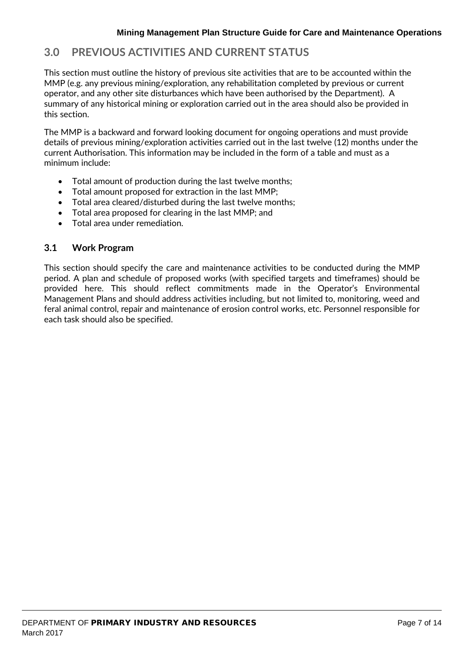# <span id="page-6-0"></span>**3.0 PREVIOUS ACTIVITIES AND CURRENT STATUS**

This section must outline the history of previous site activities that are to be accounted within the MMP (e.g. any previous mining/exploration, any rehabilitation completed by previous or current operator, and any other site disturbances which have been authorised by the Department). A summary of any historical mining or exploration carried out in the area should also be provided in this section.

The MMP is a backward and forward looking document for ongoing operations and must provide details of previous mining/exploration activities carried out in the last twelve (12) months under the current Authorisation. This information may be included in the form of a table and must as a minimum include:

- Total amount of production during the last twelve months;
- Total amount proposed for extraction in the last MMP;
- Total area cleared/disturbed during the last twelve months;
- Total area proposed for clearing in the last MMP; and
- Total area under remediation.

## <span id="page-6-1"></span>**3.1 Work Program**

This section should specify the care and maintenance activities to be conducted during the MMP period. A plan and schedule of proposed works (with specified targets and timeframes) should be provided here. This should reflect commitments made in the Operator's Environmental Management Plans and should address activities including, but not limited to, monitoring, weed and feral animal control, repair and maintenance of erosion control works, etc. Personnel responsible for each task should also be specified.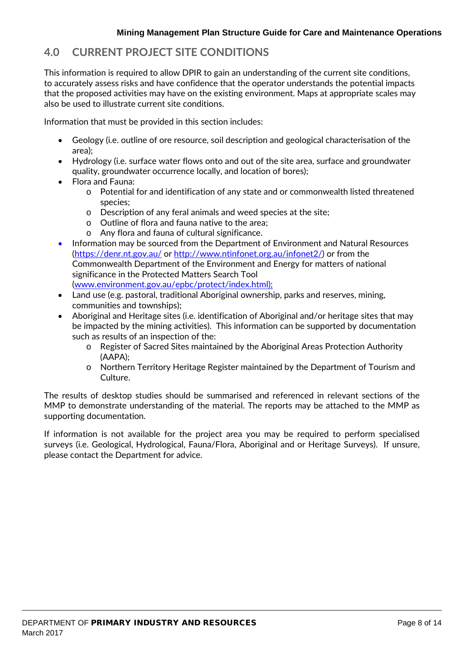# <span id="page-7-0"></span>**4.0 CURRENT PROJECT SITE CONDITIONS**

This information is required to allow DPIR to gain an understanding of the current site conditions, to accurately assess risks and have confidence that the operator understands the potential impacts that the proposed activities may have on the existing environment. Maps at appropriate scales may also be used to illustrate current site conditions.

Information that must be provided in this section includes:

- Geology (i.e. outline of ore resource, soil description and geological characterisation of the area);
- Hydrology (i.e. surface water flows onto and out of the site area, surface and groundwater quality, groundwater occurrence locally, and location of bores);
- Flora and Fauna:
	- o Potential for and identification of any state and or commonwealth listed threatened species;
	- o Description of any feral animals and weed species at the site;
	- o Outline of flora and fauna native to the area;
	- o Any flora and fauna of cultural significance.
- Information may be sourced from the Department of Environment and Natural Resources [\(https://denr.nt.gov.au/](https://denr.nt.gov.au/) or [http://www.ntinfonet.org.au/infonet2/\)](http://www.ntinfonet.org.au/infonet2/) or from the Commonwealth Department of the Environment and Energy for matters of national significance in the Protected Matters Search Tool [\(www.environment.gov.au/epbc/protect/index.html\)](http://www.environment.gov.au/epbc/protect/index.html);
- Land use (e.g. pastoral, traditional Aboriginal ownership, parks and reserves, mining, communities and townships);
- Aboriginal and Heritage sites (i.e. identification of Aboriginal and/or heritage sites that may be impacted by the mining activities). This information can be supported by documentation such as results of an inspection of the:
	- o Register of Sacred Sites maintained by the Aboriginal Areas Protection Authority (AAPA);
	- o Northern Territory Heritage Register maintained by the Department of Tourism and Culture.

The results of desktop studies should be summarised and referenced in relevant sections of the MMP to demonstrate understanding of the material. The reports may be attached to the MMP as supporting documentation.

If information is not available for the project area you may be required to perform specialised surveys (i.e. Geological, Hydrological, Fauna/Flora, Aboriginal and or Heritage Surveys). If unsure, please contact the Department for advice.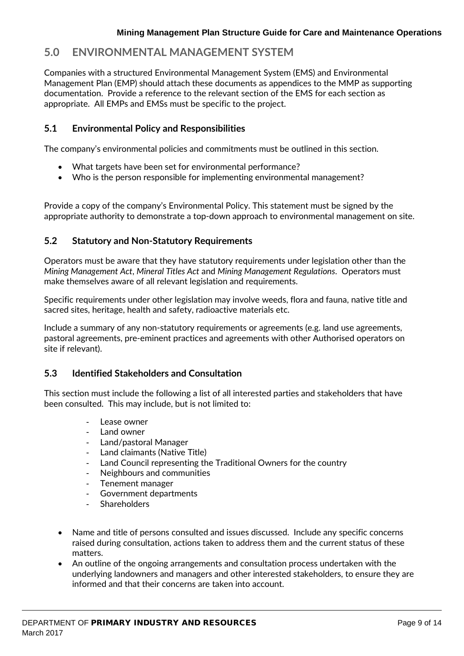# <span id="page-8-0"></span>**5.0 ENVIRONMENTAL MANAGEMENT SYSTEM**

Companies with a structured Environmental Management System (EMS) and Environmental Management Plan (EMP) should attach these documents as appendices to the MMP as supporting documentation. Provide a reference to the relevant section of the EMS for each section as appropriate. All EMPs and EMSs must be specific to the project.

# <span id="page-8-1"></span>**5.1 Environmental Policy and Responsibilities**

The company's environmental policies and commitments must be outlined in this section.

- What targets have been set for environmental performance?
- Who is the person responsible for implementing environmental management?

Provide a copy of the company's Environmental Policy. This statement must be signed by the appropriate authority to demonstrate a top-down approach to environmental management on site.

# <span id="page-8-2"></span>**5.2 Statutory and Non-Statutory Requirements**

Operators must be aware that they have statutory requirements under legislation other than the *Mining Management Act*, *Mineral Titles Act* and *Mining Management Regulations*. Operators must make themselves aware of all relevant legislation and requirements.

Specific requirements under other legislation may involve weeds, flora and fauna, native title and sacred sites, heritage, health and safety, radioactive materials etc.

Include a summary of any non-statutory requirements or agreements (e.g. land use agreements, pastoral agreements, pre-eminent practices and agreements with other Authorised operators on site if relevant).

## <span id="page-8-3"></span>**5.3 Identified Stakeholders and Consultation**

This section must include the following a list of all interested parties and stakeholders that have been consulted. This may include, but is not limited to:

- Lease owner
- Land owner
- Land/pastoral Manager
- Land claimants (Native Title)
- Land Council representing the Traditional Owners for the country
- Neighbours and communities
- Tenement manager
- Government departments
- Shareholders
- Name and title of persons consulted and issues discussed. Include any specific concerns raised during consultation, actions taken to address them and the current status of these matters.
- An outline of the ongoing arrangements and consultation process undertaken with the underlying landowners and managers and other interested stakeholders, to ensure they are informed and that their concerns are taken into account.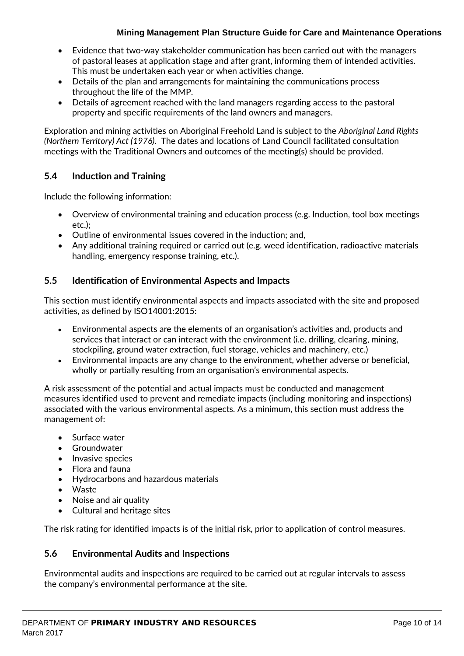- Evidence that two-way stakeholder communication has been carried out with the managers of pastoral leases at application stage and after grant, informing them of intended activities. This must be undertaken each year or when activities change.
- Details of the plan and arrangements for maintaining the communications process throughout the life of the MMP.
- Details of agreement reached with the land managers regarding access to the pastoral property and specific requirements of the land owners and managers.

Exploration and mining activities on Aboriginal Freehold Land is subject to the *Aboriginal Land Rights (Northern Territory) Act (1976)*. The dates and locations of Land Council facilitated consultation meetings with the Traditional Owners and outcomes of the meeting(s) should be provided.

# <span id="page-9-0"></span>**5.4 Induction and Training**

Include the following information:

- Overview of environmental training and education process (e.g. Induction, tool box meetings etc.);
- Outline of environmental issues covered in the induction; and,
- Any additional training required or carried out (e.g. weed identification, radioactive materials handling, emergency response training, etc.).

# <span id="page-9-1"></span>**5.5 Identification of Environmental Aspects and Impacts**

This section must identify environmental aspects and impacts associated with the site and proposed activities, as defined by ISO14001:2015:

- Environmental aspects are the elements of an organisation's activities and, products and services that interact or can interact with the environment (i.e. drilling, clearing, mining, stockpiling, ground water extraction, fuel storage, vehicles and machinery, etc.)
- Environmental impacts are any change to the environment, whether adverse or beneficial, wholly or partially resulting from an organisation's environmental aspects.

A risk assessment of the potential and actual impacts must be conducted and management measures identified used to prevent and remediate impacts (including monitoring and inspections) associated with the various environmental aspects. As a minimum, this section must address the management of:

- Surface water
- Groundwater
- Invasive species
- Flora and fauna
- Hydrocarbons and hazardous materials
- Waste
- Noise and air quality
- Cultural and heritage sites

The risk rating for identified impacts is of the initial risk, prior to application of control measures.

# <span id="page-9-2"></span>**5.6 Environmental Audits and Inspections**

Environmental audits and inspections are required to be carried out at regular intervals to assess the company's environmental performance at the site.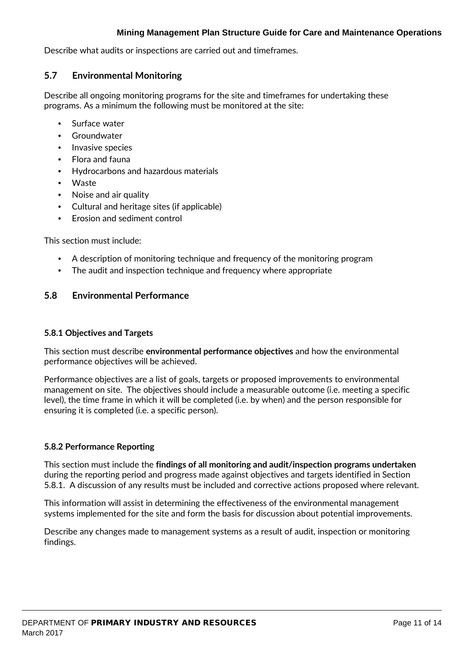Describe what audits or inspections are carried out and timeframes.

#### **5.7 Environmental Monitoring**

Describe all ongoing monitoring programs for the site and timeframes for undertaking these programs. As a minimum the following must be monitored at the site:

- Surface water
- Groundwater
- Invasive species
- Flora and fauna
- Hydrocarbons and hazardous materials
- Waste
- Noise and air quality
- Cultural and heritage sites (if applicable)
- Erosion and sediment control

This section must include:

- A description of monitoring technique and frequency of the monitoring program
- The audit and inspection technique and frequency where appropriate

#### <span id="page-10-0"></span>**5.8 Environmental Performance**

#### **5.8.1 Objectives and Targets**

This section must describe **environmental performance objectives** and how the environmental performance objectives will be achieved.

Performance objectives are a list of goals, targets or proposed improvements to environmental management on site. The objectives should include a measurable outcome (i.e. meeting a specific level), the time frame in which it will be completed (i.e. by when) and the person responsible for ensuring it is completed (i.e. a specific person).

#### **5.8.2 Performance Reporting**

This section must include the **findings of all monitoring and audit/inspection programs undertaken** during the reporting period and progress made against objectives and targets identified in Section 5.8.1. A discussion of any results must be included and corrective actions proposed where relevant.

This information will assist in determining the effectiveness of the environmental management systems implemented for the site and form the basis for discussion about potential improvements.

<span id="page-10-1"></span>Describe any changes made to management systems as a result of audit, inspection or monitoring findings.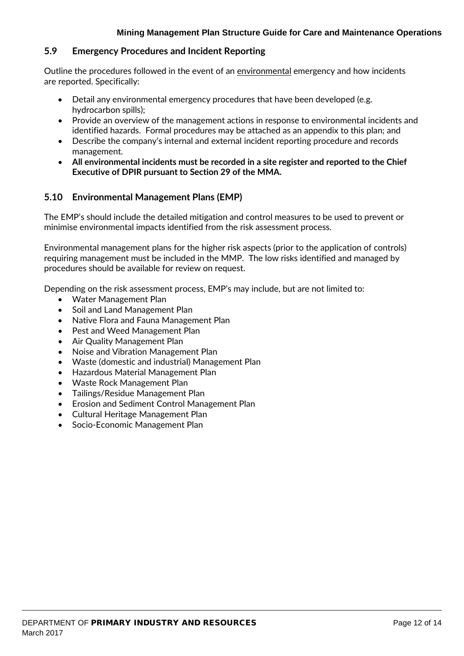# **5.9 Emergency Procedures and Incident Reporting**

Outline the procedures followed in the event of an environmental emergency and how incidents are reported. Specifically:

- Detail any environmental emergency procedures that have been developed (e.g. hydrocarbon spills);
- Provide an overview of the management actions in response to environmental incidents and identified hazards. Formal procedures may be attached as an appendix to this plan; and
- Describe the company's internal and external incident reporting procedure and records management.
- **All environmental incidents must be recorded in a site register and reported to the Chief Executive of DPIR pursuant to Section 29 of the MMA.**

# <span id="page-11-0"></span>**5.10 Environmental Management Plans (EMP)**

The EMP's should include the detailed mitigation and control measures to be used to prevent or minimise environmental impacts identified from the risk assessment process.

Environmental management plans for the higher risk aspects (prior to the application of controls) requiring management must be included in the MMP. The low risks identified and managed by procedures should be available for review on request.

Depending on the risk assessment process, EMP's may include, but are not limited to:

- Water Management Plan
- Soil and Land Management Plan
- Native Flora and Fauna Management Plan
- Pest and Weed Management Plan
- Air Quality Management Plan
- Noise and Vibration Management Plan
- Waste (domestic and industrial) Management Plan
- Hazardous Material Management Plan
- Waste Rock Management Plan
- Tailings/Residue Management Plan
- Erosion and Sediment Control Management Plan
- Cultural Heritage Management Plan
- Socio-Economic Management Plan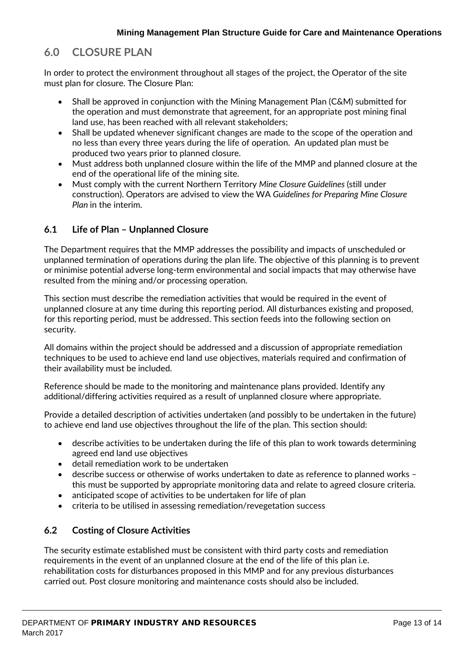# <span id="page-12-0"></span>**6.0 CLOSURE PLAN**

In order to protect the environment throughout all stages of the project, the Operator of the site must plan for closure. The Closure Plan:

- Shall be approved in conjunction with the Mining Management Plan (C&M) submitted for the operation and must demonstrate that agreement, for an appropriate post mining final land use, has been reached with all relevant stakeholders;
- Shall be updated whenever significant changes are made to the scope of the operation and no less than every three years during the life of operation. An updated plan must be produced two years prior to planned closure.
- Must address both unplanned closure within the life of the MMP and planned closure at the end of the operational life of the mining site.
- Must comply with the current Northern Territory *Mine Closure Guidelines* (still under construction). Operators are advised to view the WA *Guidelines for Preparing Mine Closure Plan* in the interim.

## <span id="page-12-1"></span>**6.1 Life of Plan – Unplanned Closure**

The Department requires that the MMP addresses the possibility and impacts of unscheduled or unplanned termination of operations during the plan life. The objective of this planning is to prevent or minimise potential adverse long-term environmental and social impacts that may otherwise have resulted from the mining and/or processing operation.

This section must describe the remediation activities that would be required in the event of unplanned closure at any time during this reporting period. All disturbances existing and proposed, for this reporting period, must be addressed. This section feeds into the following section on security.

All domains within the project should be addressed and a discussion of appropriate remediation techniques to be used to achieve end land use objectives, materials required and confirmation of their availability must be included.

Reference should be made to the monitoring and maintenance plans provided. Identify any additional/differing activities required as a result of unplanned closure where appropriate.

Provide a detailed description of activities undertaken (and possibly to be undertaken in the future) to achieve end land use objectives throughout the life of the plan. This section should:

- describe activities to be undertaken during the life of this plan to work towards determining agreed end land use objectives
- detail remediation work to be undertaken
- describe success or otherwise of works undertaken to date as reference to planned works this must be supported by appropriate monitoring data and relate to agreed closure criteria.
- anticipated scope of activities to be undertaken for life of plan
- criteria to be utilised in assessing remediation/revegetation success

## <span id="page-12-2"></span>**6.2 Costing of Closure Activities**

The security estimate established must be consistent with third party costs and remediation requirements in the event of an unplanned closure at the end of the life of this plan i.e. rehabilitation costs for disturbances proposed in this MMP and for any previous disturbances carried out. Post closure monitoring and maintenance costs should also be included.